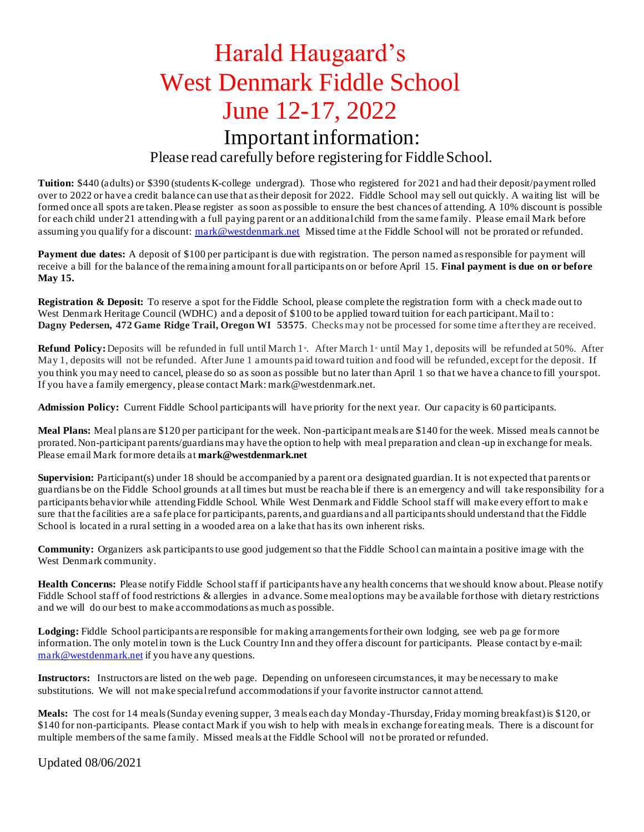# Harald Haugaard's West Denmark Fiddle School June 12-17, 2022

# Important information:

## Please read carefully before registering for Fiddle School.

**Tuition:** \$440 (adults) or \$390 (students K-college undergrad). Those who registered for 2021 and had their deposit/payment rolled over to 2022 or have a credit balance can use that as their deposit for 2022. Fiddle School may sell out quickly. A waiting list will be formed once all spots are taken. Please register as soon as possible to ensure the best chances of attending. A 10% discount is possible for each child under 21 attending with a full paying parent or an additional child from the same family. Please email Mark before assuming you qualify for a discount: [mark@westdenmark.net](mailto:mark@westdenmark.net) Missed time at the Fiddle School will not be prorated or refunded.

**Payment due dates:** A deposit of \$100 per participant is due with registration. The person named as responsible for payment will receive a bill for the balance of the remaining amount for all participants on or before April 15. **Final payment is due on or before May 15.**

**Registration & Deposit:** To reserve a spot for the Fiddle School, please complete the registration form with a check made out to West Denmark Heritage Council (WDHC) and a deposit of \$100 to be applied toward tuition for each participant. Mail to: **Dagny Pedersen, 472 Game Ridge Trail, Oregon WI 53575**. Checks may not be processed for some time after they are received.

Refund Policy: Deposits will be refunded in full until March 1<sup>s</sup>. After March 1<sup>s</sup> until May 1, deposits will be refunded at 50%. After May 1, deposits will not be refunded. After June 1 amounts paid toward tuition and food will be refunded, except for the deposit. If you think you may need to cancel, please do so as soon as possible but no later than April 1 so that we have a chance to fill your spot. If you have a family emergency, please contact Mark: mark@westdenmark.net.

**Admission Policy:** Current Fiddle School participants will have priority for the next year. Our capacity is 60 participants.

**Meal Plans:** Meal plans are \$120 per participant for the week. Non-participant meals are \$140 for the week. Missed meals cannot be prorated. Non-participant parents/guardians may have the option to help with meal preparation and clean -up in exchange for meals. Please email Mark for more details at **mark@westdenmark.net**

**Supervision:** Participant(s) under 18 should be accompanied by a parent or a designated guardian. It is not expected that parents or guardians be on the Fiddle School grounds at all times but must be reacha ble if there is an emergency and will take responsibility for a participants behavior while attending Fiddle School. While West Denmark and Fiddle School staff will make every effort to mak e sure that the facilities are a safe place for participants, parents, and guardians and all participants should understand that the Fiddle School is located in a rural setting in a wooded area on a lake that has its own inherent risks.

**Community:** Organizers ask participants to use good judgement so that the Fiddle School can maintain a positive image with the West Denmark community.

**Health Concerns:** Please notify Fiddle School staff if participants have any health concerns that we should know about. Please notify Fiddle School staff of food restrictions & allergies in a dvance. Some meal options may be available for those with dietary restrictions and we will do our best to make accommodations as much as possible.

Lodging: Fiddle School participants are responsible for making arrangements for their own lodging, see web page for more information. The only motel in town is the Luck Country Inn and they offer a discount for participants. Please contact by e-mail: [mark@westdenmark.net](mailto:mark@westdenmark.net) if you have any questions.

**Instructors:** Instructors are listed on the web page. Depending on unforeseen circumstances, it may be necessary to make substitutions. We will not make special refund accommodations if your favorite instructor cannot attend.

**Meals:** The cost for 14 meals (Sunday evening supper, 3 meals each day Monday-Thursday, Friday morning breakfast) is \$120, or \$140 for non-participants. Please contact Mark if you wish to help with meals in exchange for eating meals. There is a discount for multiple members of the same family. Missed meals at the Fiddle School will not be prorated or refunded.

Updated 08/06/2021